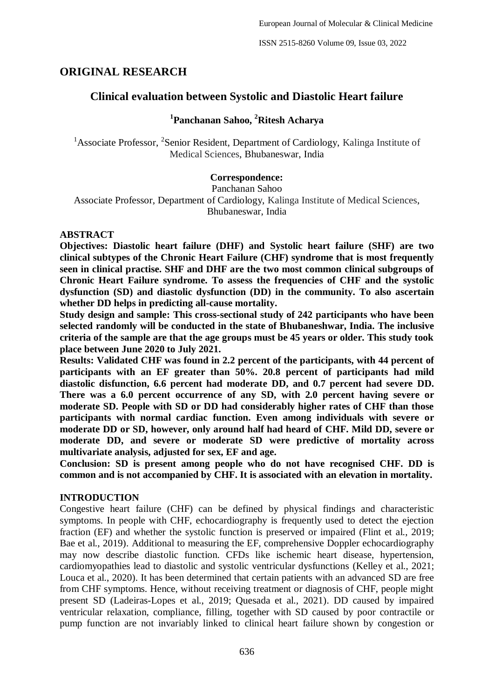ISSN 2515-8260 Volume 09, Issue 03, 2022

# **ORIGINAL RESEARCH**

# **Clinical evaluation between Systolic and Diastolic Heart failure**

# **1 Panchanan Sahoo, <sup>2</sup>Ritesh Acharya**

<sup>1</sup> Associate Professor, <sup>2</sup> Senior Resident, Department of Cardiology, Kalinga Institute of Medical Sciences, Bhubaneswar, India

## **Correspondence:**

Panchanan Sahoo Associate Professor, Department of Cardiology, Kalinga Institute of Medical Sciences, Bhubaneswar, India

## **ABSTRACT**

**Objectives: Diastolic heart failure (DHF) and Systolic heart failure (SHF) are two clinical subtypes of the Chronic Heart Failure (CHF) syndrome that is most frequently seen in clinical practise. SHF and DHF are the two most common clinical subgroups of Chronic Heart Failure syndrome. To assess the frequencies of CHF and the systolic dysfunction (SD) and diastolic dysfunction (DD) in the community. To also ascertain whether DD helps in predicting all-cause mortality.**

**Study design and sample: This cross-sectional study of 242 participants who have been selected randomly will be conducted in the state of Bhubaneshwar, India. The inclusive criteria of the sample are that the age groups must be 45 years or older. This study took place between June 2020 to July 2021.**

**Results: Validated CHF was found in 2.2 percent of the participants, with 44 percent of participants with an EF greater than 50%. 20.8 percent of participants had mild diastolic disfunction, 6.6 percent had moderate DD, and 0.7 percent had severe DD. There was a 6.0 percent occurrence of any SD, with 2.0 percent having severe or moderate SD. People with SD or DD had considerably higher rates of CHF than those participants with normal cardiac function. Even among individuals with severe or moderate DD or SD, however, only around half had heard of CHF. Mild DD, severe or moderate DD, and severe or moderate SD were predictive of mortality across multivariate analysis, adjusted for sex, EF and age.**

**Conclusion: SD is present among people who do not have recognised CHF. DD is common and is not accompanied by CHF. It is associated with an elevation in mortality.**

## **INTRODUCTION**

Congestive heart failure (CHF) can be defined by physical findings and characteristic symptoms. In people with CHF, echocardiography is frequently used to detect the ejection fraction (EF) and whether the systolic function is preserved or impaired (Flint et al., 2019; Bae et al., 2019). Additional to measuring the EF, comprehensive Doppler echocardiography may now describe diastolic function. CFDs like ischemic heart disease, hypertension, cardiomyopathies lead to diastolic and systolic ventricular dysfunctions (Kelley et al., 2021; Louca et al., 2020). It has been determined that certain patients with an advanced SD are free from CHF symptoms. Hence, without receiving treatment or diagnosis of CHF, people might present SD (Ladeiras-Lopes et al., 2019; Quesada et al., 2021). DD caused by impaired ventricular relaxation, compliance, filling, together with SD caused by poor contractile or pump function are not invariably linked to clinical heart failure shown by congestion or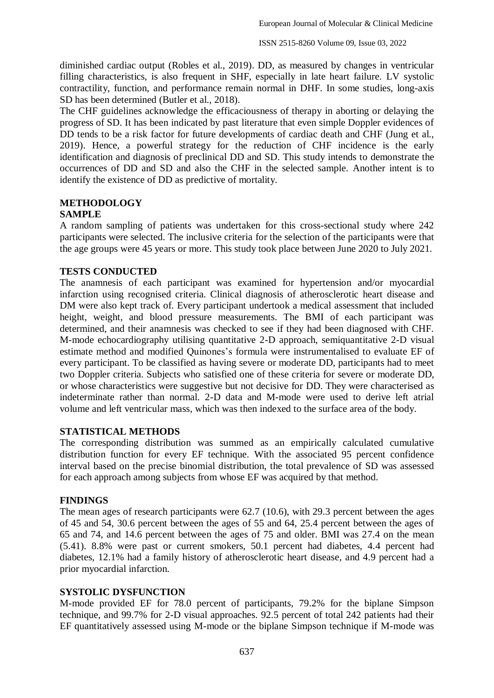diminished cardiac output (Robles et al., 2019). DD, as measured by changes in ventricular filling characteristics, is also frequent in SHF, especially in late heart failure. LV systolic contractility, function, and performance remain normal in DHF. In some studies, long-axis SD has been determined (Butler et al., 2018).

The CHF guidelines acknowledge the efficaciousness of therapy in aborting or delaying the progress of SD. It has been indicated by past literature that even simple Doppler evidences of DD tends to be a risk factor for future developments of cardiac death and CHF (Jung et al., 2019). Hence, a powerful strategy for the reduction of CHF incidence is the early identification and diagnosis of preclinical DD and SD. This study intends to demonstrate the occurrences of DD and SD and also the CHF in the selected sample. Another intent is to identify the existence of DD as predictive of mortality.

# **METHODOLOGY**

## **SAMPLE**

A random sampling of patients was undertaken for this cross-sectional study where 242 participants were selected. The inclusive criteria for the selection of the participants were that the age groups were 45 years or more. This study took place between June 2020 to July 2021.

## **TESTS CONDUCTED**

The anamnesis of each participant was examined for hypertension and/or myocardial infarction using recognised criteria. Clinical diagnosis of atherosclerotic heart disease and DM were also kept track of. Every participant undertook a medical assessment that included height, weight, and blood pressure measurements. The BMI of each participant was determined, and their anamnesis was checked to see if they had been diagnosed with CHF. M-mode echocardiography utilising quantitative 2-D approach, semiquantitative 2-D visual estimate method and modified Quinones's formula were instrumentalised to evaluate EF of every participant. To be classified as having severe or moderate DD, participants had to meet two Doppler criteria. Subjects who satisfied one of these criteria for severe or moderate DD, or whose characteristics were suggestive but not decisive for DD. They were characterised as indeterminate rather than normal. 2-D data and M-mode were used to derive left atrial volume and left ventricular mass, which was then indexed to the surface area of the body.

## **STATISTICAL METHODS**

The corresponding distribution was summed as an empirically calculated cumulative distribution function for every EF technique. With the associated 95 percent confidence interval based on the precise binomial distribution, the total prevalence of SD was assessed for each approach among subjects from whose EF was acquired by that method.

## **FINDINGS**

The mean ages of research participants were 62.7 (10.6), with 29.3 percent between the ages of 45 and 54, 30.6 percent between the ages of 55 and 64, 25.4 percent between the ages of 65 and 74, and 14.6 percent between the ages of 75 and older. BMI was 27.4 on the mean (5.41). 8.8% were past or current smokers, 50.1 percent had diabetes, 4.4 percent had diabetes, 12.1% had a family history of atherosclerotic heart disease, and 4.9 percent had a prior myocardial infarction.

## **SYSTOLIC DYSFUNCTION**

M-mode provided EF for 78.0 percent of participants, 79.2% for the biplane Simpson technique, and 99.7% for 2-D visual approaches. 92.5 percent of total 242 patients had their EF quantitatively assessed using M-mode or the biplane Simpson technique if M-mode was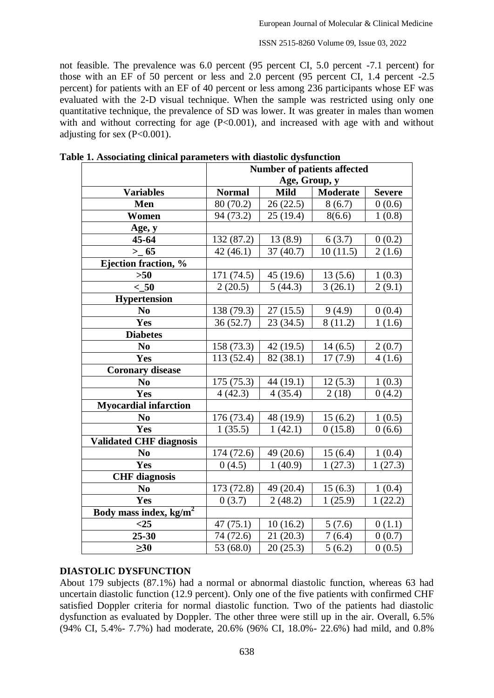not feasible. The prevalence was 6.0 percent (95 percent CI, 5.0 percent -7.1 percent) for those with an EF of 50 percent or less and 2.0 percent (95 percent CI, 1.4 percent -2.5 percent) for patients with an EF of 40 percent or less among 236 participants whose EF was evaluated with the 2-D visual technique. When the sample was restricted using only one quantitative technique, the prevalence of SD was lower. It was greater in males than women with and without correcting for age  $(P<0.001)$ , and increased with age with and without adjusting for sex  $(P<0.001)$ .

|                                    | <b>Number of patients affected</b> |             |                     |               |
|------------------------------------|------------------------------------|-------------|---------------------|---------------|
|                                    | Age, Group, y                      |             |                     |               |
| <b>Variables</b>                   | <b>Normal</b>                      | <b>Mild</b> | <b>Moderate</b>     | <b>Severe</b> |
| Men                                | 80 (70.2)                          | 26(22.5)    | 8(6.7)              | 0(0.6)        |
| Women                              | 94 (73.2)                          | 25(19.4)    | 8(6.6)              | 1(0.8)        |
| Age, y                             |                                    |             |                     |               |
| 45-64                              | 132 (87.2)                         | 13(8.9)     | 6(3.7)              | 0(0.2)        |
| > 65                               | 42(46.1)                           | 37(40.7)    | 10(11.5)            | 2(1.6)        |
| Ejection fraction, %               |                                    |             |                     |               |
| $>50$                              | 171 (74.5)                         | 45 (19.6)   | 13(5.6)             | 1(0.3)        |
| $<$ 50                             | 2(20.5)                            | 5(44.3)     | 3(26.1)             | 2(9.1)        |
| <b>Hypertension</b>                |                                    |             |                     |               |
| N <sub>0</sub>                     | 138 (79.3)                         | 27(15.5)    | 9(4.9)              | 0(0.4)        |
| <b>Yes</b>                         | 36(52.7)                           | 23(34.5)    | 8(11.2)             | 1(1.6)        |
| <b>Diabetes</b>                    |                                    |             |                     |               |
| N <sub>0</sub>                     | 158 (73.3)                         | 42 (19.5)   | 14(6.5)             | 2(0.7)        |
| Yes                                | 113 (52.4)                         | 82 (38.1)   | 17(7.9)             | 4(1.6)        |
| <b>Coronary disease</b>            |                                    |             |                     |               |
| N <sub>0</sub>                     | 175(75.3)                          | 44 (19.1)   | 12(5.3)             | 1(0.3)        |
| Yes                                | 4(42.3)                            | 4(35.4)     | 2(18)               | 0(4.2)        |
| <b>Myocardial infarction</b>       |                                    |             |                     |               |
| N <sub>0</sub>                     | 176 (73.4)                         | 48 (19.9)   | 15(6.2)             | 1(0.5)        |
| Yes                                | 1(35.5)                            | 1(42.1)     | 0(15.8)             | 0(6.6)        |
| <b>Validated CHF diagnosis</b>     |                                    |             |                     |               |
| N <sub>0</sub>                     | 174 (72.6)                         | 49 (20.6)   | 15(6.4)             | 1(0.4)        |
| Yes                                | 0(4.5)                             | 1(40.9)     | 1(27.3)             | 1(27.3)       |
| <b>CHF</b> diagnosis               |                                    |             |                     |               |
| N <sub>0</sub>                     | 173 (72.8)                         | 49 (20.4)   | 15(6.3)             | 1(0.4)        |
| <b>Yes</b>                         | 0(3.7)                             | 2(48.2)     | 1(25.9)             | 1(22.2)       |
| Body mass index, kg/m <sup>2</sup> |                                    |             |                     |               |
| $<$ 25                             | 47(75.1)                           | 10(16.2)    | 5(7.6)              | 0(1.1)        |
| 25-30                              | 74 (72.6)                          | 21(20.3)    | 7(6.4)              | 0(0.7)        |
| $\geq 30$                          | $\overline{53}$ (68.0)             | 20(25.3)    | $\overline{5(6.2)}$ | 0(0.5)        |

## **DIASTOLIC DYSFUNCTION**

About 179 subjects (87.1%) had a normal or abnormal diastolic function, whereas 63 had uncertain diastolic function (12.9 percent). Only one of the five patients with confirmed CHF satisfied Doppler criteria for normal diastolic function. Two of the patients had diastolic dysfunction as evaluated by Doppler. The other three were still up in the air. Overall, 6.5% (94% CI, 5.4%- 7.7%) had moderate, 20.6% (96% CI, 18.0%- 22.6%) had mild, and 0.8%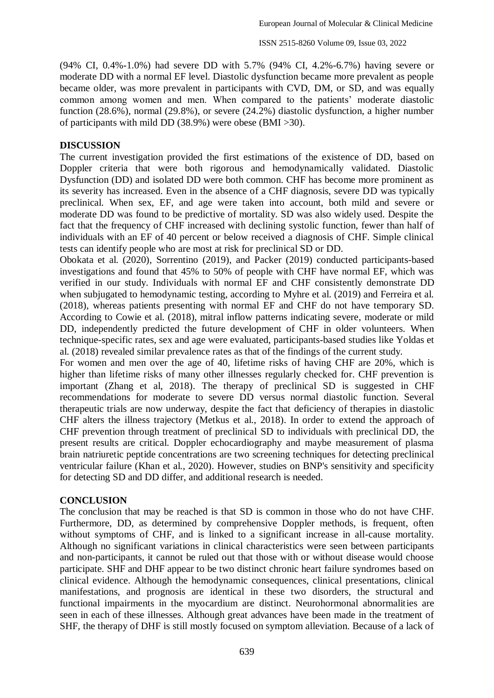(94% CI, 0.4%-1.0%) had severe DD with 5.7% (94% CI, 4.2%-6.7%) having severe or moderate DD with a normal EF level. Diastolic dysfunction became more prevalent as people became older, was more prevalent in participants with CVD, DM, or SD, and was equally common among women and men. When compared to the patients' moderate diastolic function (28.6%), normal (29.8%), or severe (24.2%) diastolic dysfunction, a higher number of participants with mild DD (38.9%) were obese (BMI >30).

## **DISCUSSION**

The current investigation provided the first estimations of the existence of DD, based on Doppler criteria that were both rigorous and hemodynamically validated. Diastolic Dysfunction (DD) and isolated DD were both common. CHF has become more prominent as its severity has increased. Even in the absence of a CHF diagnosis, severe DD was typically preclinical. When sex, EF, and age were taken into account, both mild and severe or moderate DD was found to be predictive of mortality. SD was also widely used. Despite the fact that the frequency of CHF increased with declining systolic function, fewer than half of individuals with an EF of 40 percent or below received a diagnosis of CHF. Simple clinical tests can identify people who are most at risk for preclinical SD or DD.

Obokata et al. (2020), Sorrentino (2019), and Packer (2019) conducted participants-based investigations and found that 45% to 50% of people with CHF have normal EF, which was verified in our study. Individuals with normal EF and CHF consistently demonstrate DD when subjugated to hemodynamic testing, according to Myhre et al. (2019) and Ferreira et al. (2018), whereas patients presenting with normal EF and CHF do not have temporary SD. According to Cowie et al. (2018), mitral inflow patterns indicating severe, moderate or mild DD, independently predicted the future development of CHF in older volunteers. When technique-specific rates, sex and age were evaluated, participants-based studies like Yoldas et al. (2018) revealed similar prevalence rates as that of the findings of the current study.

For women and men over the age of 40, lifetime risks of having CHF are 20%, which is higher than lifetime risks of many other illnesses regularly checked for. CHF prevention is important (Zhang et al, 2018). The therapy of preclinical SD is suggested in CHF recommendations for moderate to severe DD versus normal diastolic function. Several therapeutic trials are now underway, despite the fact that deficiency of therapies in diastolic CHF alters the illness trajectory (Metkus et al., 2018). In order to extend the approach of CHF prevention through treatment of preclinical SD to individuals with preclinical DD, the present results are critical. Doppler echocardiography and maybe measurement of plasma brain natriuretic peptide concentrations are two screening techniques for detecting preclinical ventricular failure (Khan et al., 2020). However, studies on BNP's sensitivity and specificity for detecting SD and DD differ, and additional research is needed.

## **CONCLUSION**

The conclusion that may be reached is that SD is common in those who do not have CHF. Furthermore, DD, as determined by comprehensive Doppler methods, is frequent, often without symptoms of CHF, and is linked to a significant increase in all-cause mortality. Although no significant variations in clinical characteristics were seen between participants and non-participants, it cannot be ruled out that those with or without disease would choose participate. SHF and DHF appear to be two distinct chronic heart failure syndromes based on clinical evidence. Although the hemodynamic consequences, clinical presentations, clinical manifestations, and prognosis are identical in these two disorders, the structural and functional impairments in the myocardium are distinct. Neurohormonal abnormalities are seen in each of these illnesses. Although great advances have been made in the treatment of SHF, the therapy of DHF is still mostly focused on symptom alleviation. Because of a lack of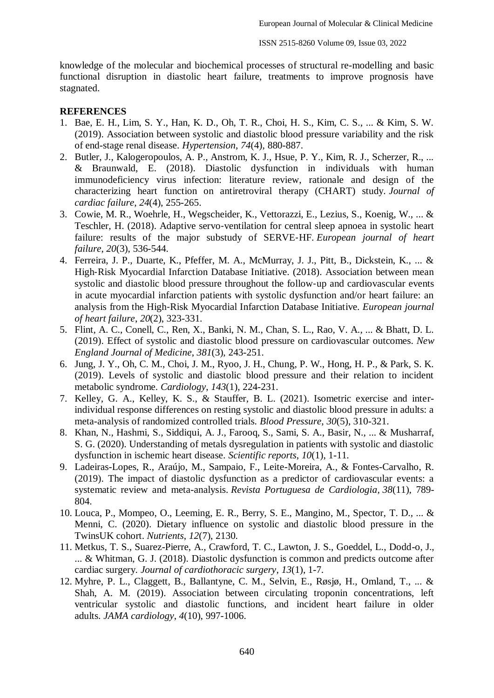knowledge of the molecular and biochemical processes of structural re-modelling and basic functional disruption in diastolic heart failure, treatments to improve prognosis have stagnated.

## **REFERENCES**

- 1. Bae, E. H., Lim, S. Y., Han, K. D., Oh, T. R., Choi, H. S., Kim, C. S., ... & Kim, S. W. (2019). Association between systolic and diastolic blood pressure variability and the risk of end-stage renal disease. *Hypertension*, *74*(4), 880-887.
- 2. Butler, J., Kalogeropoulos, A. P., Anstrom, K. J., Hsue, P. Y., Kim, R. J., Scherzer, R., ... & Braunwald, E. (2018). Diastolic dysfunction in individuals with human immunodeficiency virus infection: literature review, rationale and design of the characterizing heart function on antiretroviral therapy (CHART) study. *Journal of cardiac failure*, *24*(4), 255-265.
- 3. Cowie, M. R., Woehrle, H., Wegscheider, K., Vettorazzi, E., Lezius, S., Koenig, W., ... & Teschler, H. (2018). Adaptive servo-ventilation for central sleep apnoea in systolic heart failure: results of the major substudy of SERVE-HF. *European journal of heart failure*, *20*(3), 536-544.
- 4. Ferreira, J. P., Duarte, K., Pfeffer, M. A., McMurray, J. J., Pitt, B., Dickstein, K., ... & High‐Risk Myocardial Infarction Database Initiative. (2018). Association between mean systolic and diastolic blood pressure throughout the follow-up and cardiovascular events in acute myocardial infarction patients with systolic dysfunction and/or heart failure: an analysis from the High‐Risk Myocardial Infarction Database Initiative. *European journal of heart failure*, *20*(2), 323-331.
- 5. Flint, A. C., Conell, C., Ren, X., Banki, N. M., Chan, S. L., Rao, V. A., ... & Bhatt, D. L. (2019). Effect of systolic and diastolic blood pressure on cardiovascular outcomes. *New England Journal of Medicine*, *381*(3), 243-251.
- 6. Jung, J. Y., Oh, C. M., Choi, J. M., Ryoo, J. H., Chung, P. W., Hong, H. P., & Park, S. K. (2019). Levels of systolic and diastolic blood pressure and their relation to incident metabolic syndrome. *Cardiology*, *143*(1), 224-231.
- 7. Kelley, G. A., Kelley, K. S., & Stauffer, B. L. (2021). Isometric exercise and interindividual response differences on resting systolic and diastolic blood pressure in adults: a meta-analysis of randomized controlled trials. *Blood Pressure*, *30*(5), 310-321.
- 8. Khan, N., Hashmi, S., Siddiqui, A. J., Farooq, S., Sami, S. A., Basir, N., ... & Musharraf, S. G. (2020). Understanding of metals dysregulation in patients with systolic and diastolic dysfunction in ischemic heart disease. *Scientific reports*, *10*(1), 1-11.
- 9. Ladeiras-Lopes, R., Araújo, M., Sampaio, F., Leite-Moreira, A., & Fontes-Carvalho, R. (2019). The impact of diastolic dysfunction as a predictor of cardiovascular events: a systematic review and meta-analysis. *Revista Portuguesa de Cardiologia*, *38*(11), 789- 804.
- 10. Louca, P., Mompeo, O., Leeming, E. R., Berry, S. E., Mangino, M., Spector, T. D., ... & Menni, C. (2020). Dietary influence on systolic and diastolic blood pressure in the TwinsUK cohort. *Nutrients*, *12*(7), 2130.
- 11. Metkus, T. S., Suarez-Pierre, A., Crawford, T. C., Lawton, J. S., Goeddel, L., Dodd-o, J., ... & Whitman, G. J. (2018). Diastolic dysfunction is common and predicts outcome after cardiac surgery. *Journal of cardiothoracic surgery*, *13*(1), 1-7.
- 12. Myhre, P. L., Claggett, B., Ballantyne, C. M., Selvin, E., Røsjø, H., Omland, T., ... & Shah, A. M. (2019). Association between circulating troponin concentrations, left ventricular systolic and diastolic functions, and incident heart failure in older adults. *JAMA cardiology*, *4*(10), 997-1006.